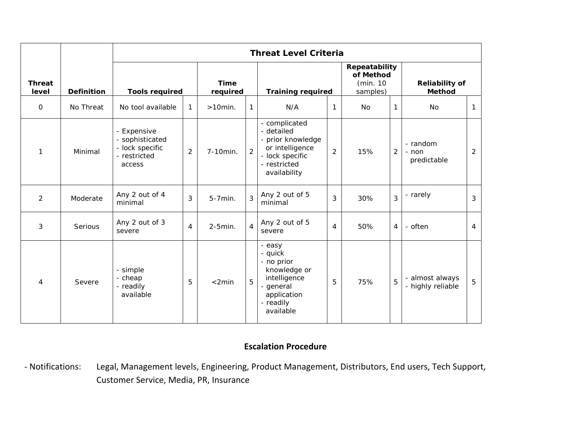|                        |                   | <b>Threat Level Criteria</b>                                                |                |                          |                |                                                                                                                        |                |                                 |                |                                      |                |
|------------------------|-------------------|-----------------------------------------------------------------------------|----------------|--------------------------|----------------|------------------------------------------------------------------------------------------------------------------------|----------------|---------------------------------|----------------|--------------------------------------|----------------|
| <b>Threat</b><br>level | <b>Definition</b> | <b>Time</b><br><b>Tools required</b><br>required                            |                | <b>Training required</b> |                | Repeatability<br>of Method<br>(min. 10<br>samples)                                                                     |                | <b>Reliability of</b><br>Method |                |                                      |                |
| $\mathbf 0$            | No Threat         | No tool available                                                           | $\mathbf{1}$   | $>10$ min.               | $\mathbf{1}$   | N/A                                                                                                                    | $\mathbf{1}$   | No                              |                | No                                   | 1              |
| 1                      | Minimal           | - Expensive<br>- sophisticated<br>- lock specific<br>- restricted<br>access | $\overline{2}$ | 7-10min.                 | $\overline{2}$ | - complicated<br>- detailed<br>- prior knowledge<br>or intelligence<br>- lock specific<br>- restricted<br>availability | 2              | 15%                             | $\overline{2}$ | - random<br>- non<br>predictable     | 2              |
| $\overline{2}$         | Moderate          | Any 2 out of 4<br>minimal                                                   | 3              | 5-7min.                  | $\overline{3}$ | Any 2 out of 5<br>minimal                                                                                              | 3              | 30%                             | 3              | - rarely                             | 3              |
| 3                      | Serious           | Any 2 out of 3<br>severe                                                    | $\overline{4}$ | $2-5$ min.               | $\overline{4}$ | Any 2 out of 5<br>severe                                                                                               | $\overline{4}$ | 50%                             | 4              | - often                              | $\overline{4}$ |
| $\overline{4}$         | Severe            | - simple<br>- cheap<br>- readily<br>available                               | 5              | $<$ 2min                 | 5              | - easy<br>- quick<br>- no prior<br>knowledge or<br>intelligence<br>- general<br>application<br>- readily<br>available  | 5              | 75%                             | 5              | - almost always<br>- highly reliable | 5              |

## **Escalation Procedure**

‐ Notifications: Legal, Management levels, Engineering, Product Management, Distributors, End users, Tech Support, Customer Service, Media, PR, Insurance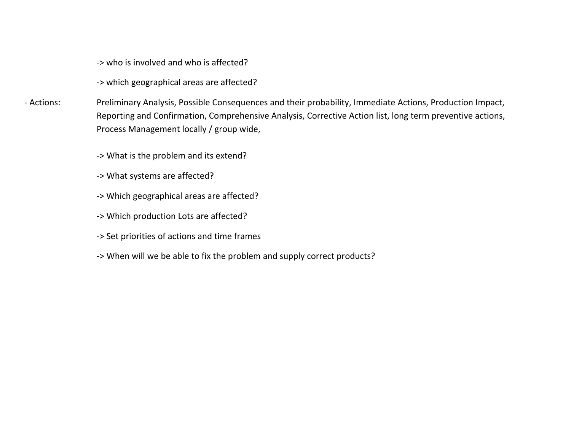‐> who is involved and who is affected?

‐<sup>&</sup>gt; which geographical areas are affected?

‐ Actions: Preliminary Analysis, Possible Consequences and their probability, Immediate Actions, Production Impact, Reporting and Confirmation, Comprehensive Analysis, Corrective Action list, long term preventive actions, Process Management locally / group wide,

‐> What is the problem and its extend?

- ‐<sup>&</sup>gt; What systems are affected?
- ‐<sup>&</sup>gt; Which geographical areas are affected?
- ‐<sup>&</sup>gt; Which production Lots are affected?
- ‐<sup>&</sup>gt; Set priorities of actions and time frames
- ‐<sup>&</sup>gt; When will we be able to fix the problem and supply correct products?